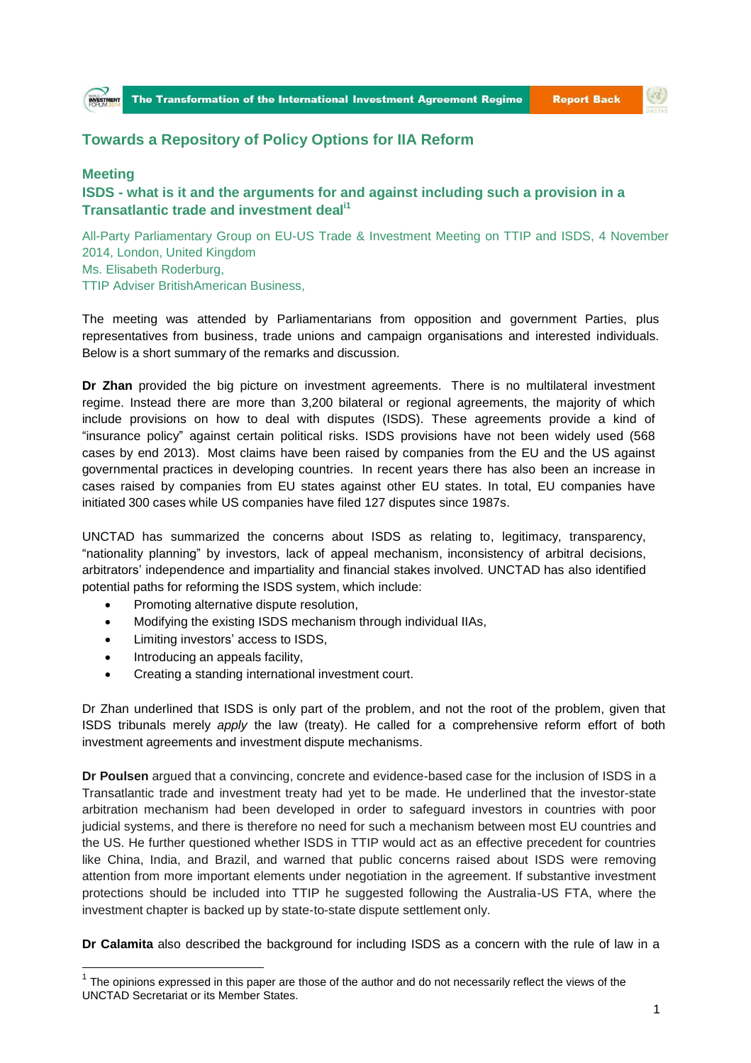## **Towards a Repository of Policy Options for IIA Reform**

## **Meeting**

## **ISDS - what is it and the arguments for and against including such a provision in a Transatlantic trade and investment deali1**

All-Party Parliamentary Group on EU-US Trade & Investment Meeting on TTIP and ISDS, 4 November 2014, London, United Kingdom Ms. Elisabeth Roderburg, TTIP Adviser BritishAmerican Business,

The meeting was attended by Parliamentarians from opposition and government Parties, plus representatives from business, trade unions and campaign organisations and interested individuals. Below is a short summary of the remarks and discussion.

**Dr Zhan** provided the big picture on investment agreements. There is no multilateral investment regime. Instead there are more than 3,200 bilateral or regional agreements, the majority of which include provisions on how to deal with disputes (ISDS). These agreements provide a kind of "insurance policy" against certain political risks. ISDS provisions have not been widely used (568 cases by end 2013). Most claims have been raised by companies from the EU and the US against governmental practices in developing countries. In recent years there has also been an increase in cases raised by companies from EU states against other EU states. In total, EU companies have initiated 300 cases while US companies have filed 127 disputes since 1987s.

UNCTAD has summarized the concerns about ISDS as relating to, legitimacy, transparency, "nationality planning" by investors, lack of appeal mechanism, inconsistency of arbitral decisions, arbitrators' independence and impartiality and financial stakes involved. UNCTAD has also identified potential paths for reforming the ISDS system, which include:

- Promoting alternative dispute resolution,
- Modifying the existing ISDS mechanism through individual IIAs,
- Limiting investors' access to ISDS,
- Introducing an appeals facility,

 $\overline{a}$ 

Creating a standing international investment court.

Dr Zhan underlined that ISDS is only part of the problem, and not the root of the problem, given that ISDS tribunals merely *apply* the law (treaty). He called for a comprehensive reform effort of both investment agreements and investment dispute mechanisms.

**Dr Poulsen** argued that a convincing, concrete and evidence-based case for the inclusion of ISDS in a Transatlantic trade and investment treaty had yet to be made. He underlined that the investor-state arbitration mechanism had been developed in order to safeguard investors in countries with poor judicial systems, and there is therefore no need for such a mechanism between most EU countries and the US. He further questioned whether ISDS in TTIP would act as an effective precedent for countries like China, India, and Brazil, and warned that public concerns raised about ISDS were removing attention from more important elements under negotiation in the agreement. If substantive investment protections should be included into TTIP he suggested following the Australia-US FTA, where the investment chapter is backed up by state-to-state dispute settlement only.

**Dr Calamita** also described the background for including ISDS as a concern with the rule of law in a

 $1$  The opinions expressed in this paper are those of the author and do not necessarily reflect the views of the UNCTAD Secretariat or its Member States.